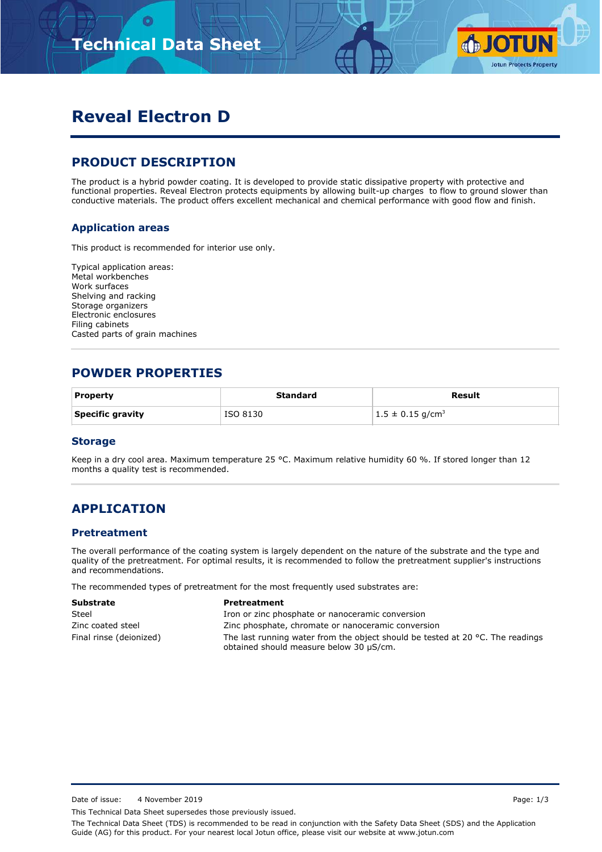

# **Reveal Electron D**

# **PRODUCT DESCRIPTION**

The product is a hybrid powder coating. It is developed to provide static dissipative property with protective and functional properties. Reveal Electron protects equipments by allowing built-up charges to flow to ground slower than conductive materials. The product offers excellent mechanical and chemical performance with good flow and finish.

### **Application areas**

This product is recommended for interior use only.

Typical application areas: Metal workbenches Work surfaces Shelving and racking Storage organizers Electronic enclosures Filing cabinets Casted parts of grain machines

## **POWDER PROPERTIES**

| <b>Property</b>  | <b>Standard</b> | Result                           |
|------------------|-----------------|----------------------------------|
| Specific gravity | ISO 8130        | $1.5 \pm 0.15$ g/cm <sup>3</sup> |

#### **Storage**

Keep in a dry cool area. Maximum temperature 25 °C. Maximum relative humidity 60 %. If stored longer than 12 months a quality test is recommended.

## **APPLICATION**

#### **Pretreatment**

The overall performance of the coating system is largely dependent on the nature of the substrate and the type and quality of the pretreatment. For optimal results, it is recommended to follow the pretreatment supplier's instructions and recommendations.

The recommended types of pretreatment for the most frequently used substrates are:

| <b>Substrate</b>        | Pretreatment                                                                                                                        |
|-------------------------|-------------------------------------------------------------------------------------------------------------------------------------|
| Steel                   | Iron or zinc phosphate or nanoceramic conversion                                                                                    |
| Zinc coated steel       | Zinc phosphate, chromate or nanoceramic conversion                                                                                  |
| Final rinse (deionized) | The last running water from the object should be tested at 20 $^{\circ}$ C. The readings<br>obtained should measure below 30 µS/cm. |

Date of issue: 4 November 2019 **Page: 1/3** 

This Technical Data Sheet supersedes those previously issued.

The Technical Data Sheet (TDS) is recommended to be read in conjunction with the Safety Data Sheet (SDS) and the Application Guide (AG) for this product. For your nearest local Jotun office, please visit our website at www.jotun.com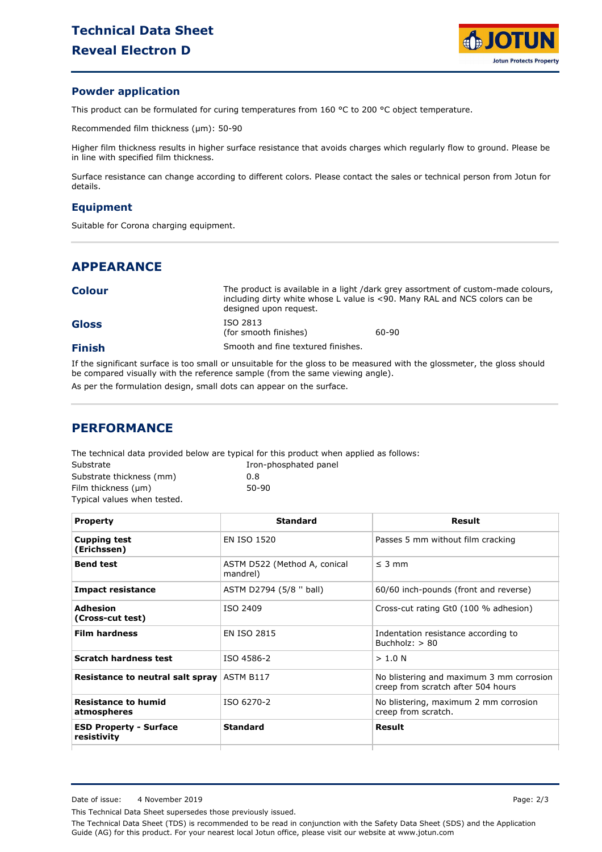

#### **Powder application**

This product can be formulated for curing temperatures from 160 °C to 200 °C object temperature.

Recommended film thickness (µm): 50-90

Higher film thickness results in higher surface resistance that avoids charges which regularly flow to ground. Please be in line with specified film thickness.

Surface resistance can change according to different colors. Please contact the sales or technical person from Jotun for details.

#### **Equipment**

Suitable for Corona charging equipment.

# **APPEARANCE**

| <b>Colour</b> |  |
|---------------|--|
|---------------|--|

The product is available in a light /dark grey assortment of custom-made colours, including dirty white whose L value is <90. Many RAL and NCS colors can be designed upon request. ISO 2813

60-90

|  | <b>Gloss</b> |  |
|--|--------------|--|
|  |              |  |
|  |              |  |
|  |              |  |

### **Finish**

If the significant surface is too small or unsuitable for the gloss to be measured with the glossmeter, the gloss should be compared visually with the reference sample (from the same viewing angle). As per the formulation design, small dots can appear on the surface.

Smooth and fine textured finishes.

(for smooth finishes)

### **PERFORMANCE**

The technical data provided below are typical for this product when applied as follows:

| Substrate                   |
|-----------------------------|
| Substrate thickness (mm)    |
| Film thickness (µm)         |
| Typical values when tested. |

0.8 Iron-phosphated panel 50-90

| <b>Property</b>                              | <b>Standard</b>                          | Result                                                                         |
|----------------------------------------------|------------------------------------------|--------------------------------------------------------------------------------|
| <b>Cupping test</b><br>(Erichssen)           | EN ISO 1520                              | Passes 5 mm without film cracking                                              |
| <b>Bend test</b>                             | ASTM D522 (Method A, conical<br>mandrel) | $\leq$ 3 mm                                                                    |
| <b>Impact resistance</b>                     | ASTM D2794 (5/8 " ball)                  | 60/60 inch-pounds (front and reverse)                                          |
| Adhesion<br>(Cross-cut test)                 | ISO 2409                                 | Cross-cut rating Gt0 (100 % adhesion)                                          |
| <b>Film hardness</b>                         | <b>EN ISO 2815</b>                       | Indentation resistance according to<br>Buchholz: $> 80$                        |
| <b>Scratch hardness test</b>                 | ISO 4586-2                               | > 1.0 N                                                                        |
| Resistance to neutral salt spray             | ASTM B117                                | No blistering and maximum 3 mm corrosion<br>creep from scratch after 504 hours |
| <b>Resistance to humid</b><br>atmospheres    | ISO 6270-2                               | No blistering, maximum 2 mm corrosion<br>creep from scratch.                   |
| <b>ESD Property - Surface</b><br>resistivity | <b>Standard</b>                          | Result                                                                         |
|                                              |                                          |                                                                                |

This Technical Data Sheet supersedes those previously issued.

The Technical Data Sheet (TDS) is recommended to be read in conjunction with the Safety Data Sheet (SDS) and the Application Guide (AG) for this product. For your nearest local Jotun office, please visit our website at www.jotun.com

Date of issue: 4 November 2019 **Page: 2/3**